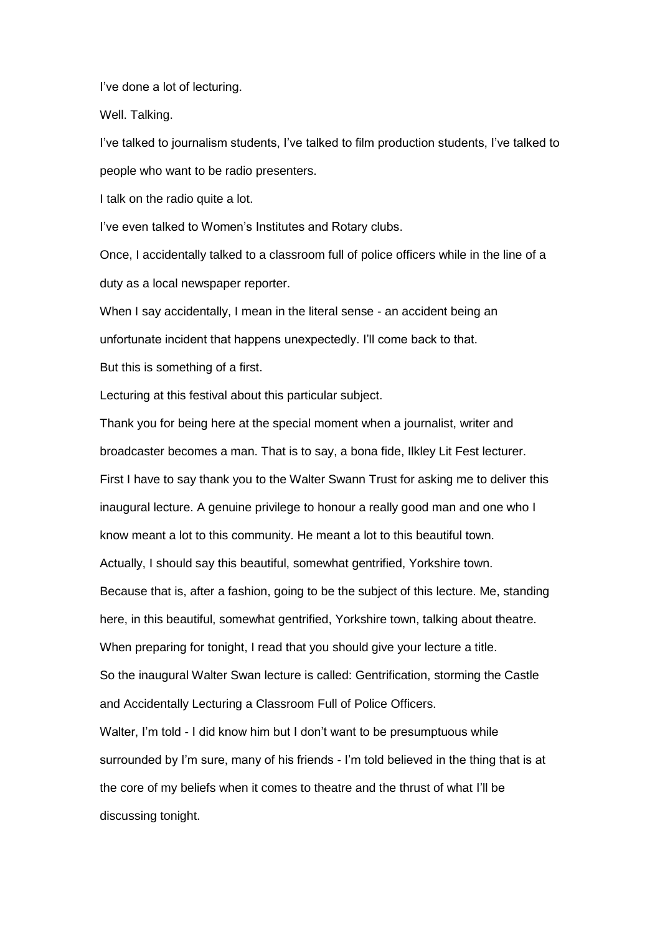I"ve done a lot of lecturing.

Well. Talking.

I"ve talked to journalism students, I"ve talked to film production students, I"ve talked to people who want to be radio presenters.

I talk on the radio quite a lot.

I"ve even talked to Women"s Institutes and Rotary clubs.

Once, I accidentally talked to a classroom full of police officers while in the line of a duty as a local newspaper reporter.

When I say accidentally, I mean in the literal sense - an accident being an unfortunate incident that happens unexpectedly. I"ll come back to that.

But this is something of a first.

Lecturing at this festival about this particular subject.

Thank you for being here at the special moment when a journalist, writer and broadcaster becomes a man. That is to say, a bona fide, Ilkley Lit Fest lecturer. First I have to say thank you to the Walter Swann Trust for asking me to deliver this inaugural lecture. A genuine privilege to honour a really good man and one who I know meant a lot to this community. He meant a lot to this beautiful town. Actually, I should say this beautiful, somewhat gentrified, Yorkshire town. Because that is, after a fashion, going to be the subject of this lecture. Me, standing here, in this beautiful, somewhat gentrified, Yorkshire town, talking about theatre. When preparing for tonight, I read that you should give your lecture a title. So the inaugural Walter Swan lecture is called: Gentrification, storming the Castle and Accidentally Lecturing a Classroom Full of Police Officers. Walter, I'm told - I did know him but I don't want to be presumptuous while surrounded by I"m sure, many of his friends - I"m told believed in the thing that is at the core of my beliefs when it comes to theatre and the thrust of what I"ll be

discussing tonight.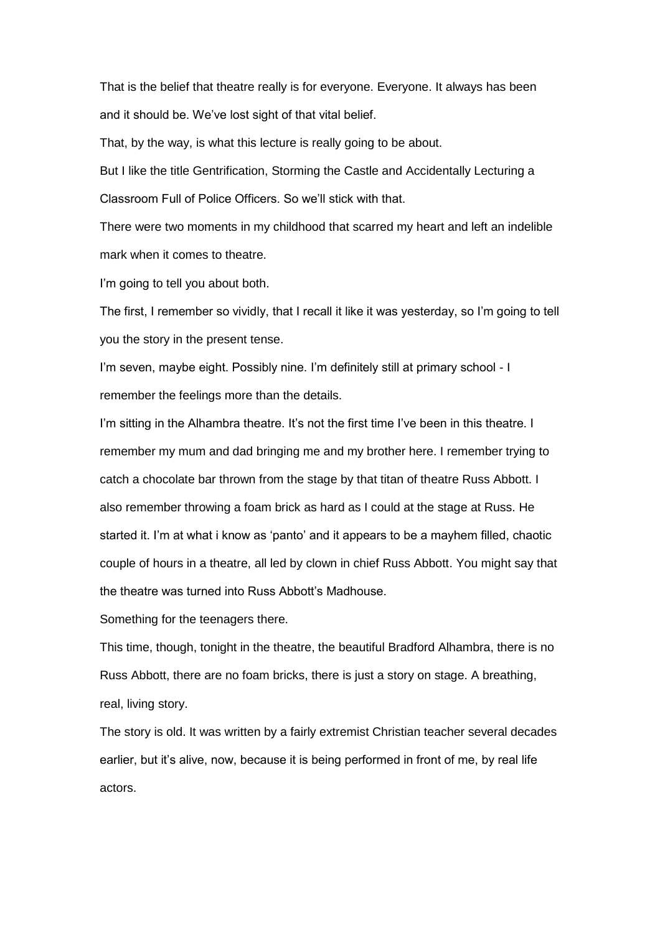That is the belief that theatre really is for everyone. Everyone. It always has been and it should be. We"ve lost sight of that vital belief.

That, by the way, is what this lecture is really going to be about.

But I like the title Gentrification, Storming the Castle and Accidentally Lecturing a Classroom Full of Police Officers. So we"ll stick with that.

There were two moments in my childhood that scarred my heart and left an indelible mark when it comes to theatre.

I'm going to tell you about both.

The first, I remember so vividly, that I recall it like it was yesterday, so I"m going to tell you the story in the present tense.

I'm seven, maybe eight. Possibly nine. I'm definitely still at primary school - I remember the feelings more than the details.

I'm sitting in the Alhambra theatre. It's not the first time I've been in this theatre. I remember my mum and dad bringing me and my brother here. I remember trying to catch a chocolate bar thrown from the stage by that titan of theatre Russ Abbott. I also remember throwing a foam brick as hard as I could at the stage at Russ. He started it. I"m at what i know as "panto" and it appears to be a mayhem filled, chaotic couple of hours in a theatre, all led by clown in chief Russ Abbott. You might say that the theatre was turned into Russ Abbott"s Madhouse.

Something for the teenagers there.

This time, though, tonight in the theatre, the beautiful Bradford Alhambra, there is no Russ Abbott, there are no foam bricks, there is just a story on stage. A breathing, real, living story.

The story is old. It was written by a fairly extremist Christian teacher several decades earlier, but it's alive, now, because it is being performed in front of me, by real life actors.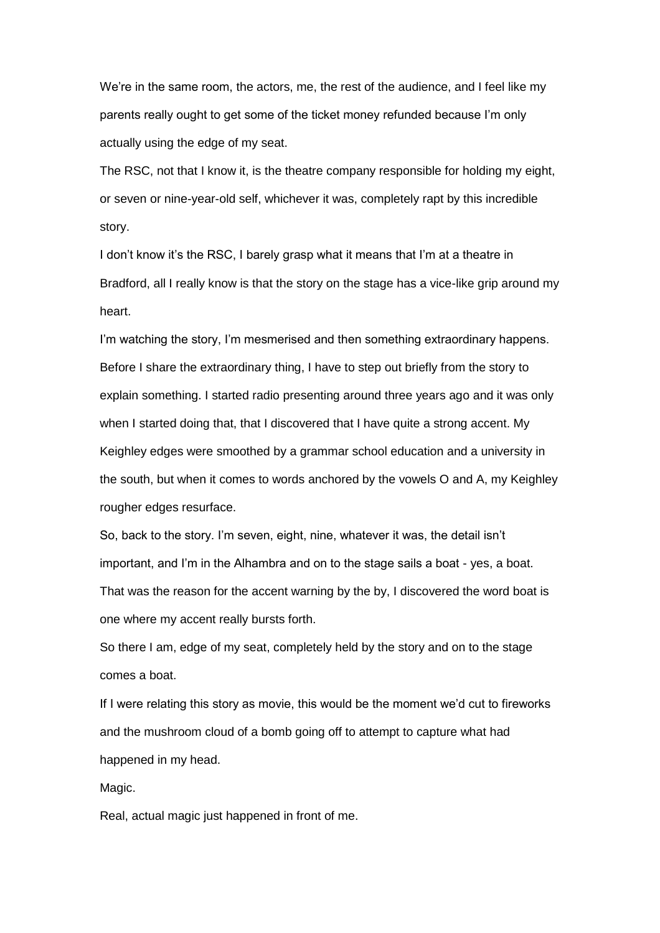We"re in the same room, the actors, me, the rest of the audience, and I feel like my parents really ought to get some of the ticket money refunded because I"m only actually using the edge of my seat.

The RSC, not that I know it, is the theatre company responsible for holding my eight, or seven or nine-year-old self, whichever it was, completely rapt by this incredible story.

I don't know it's the RSC, I barely grasp what it means that I'm at a theatre in Bradford, all I really know is that the story on the stage has a vice-like grip around my heart.

I'm watching the story, I'm mesmerised and then something extraordinary happens. Before I share the extraordinary thing, I have to step out briefly from the story to explain something. I started radio presenting around three years ago and it was only when I started doing that, that I discovered that I have quite a strong accent. My Keighley edges were smoothed by a grammar school education and a university in the south, but when it comes to words anchored by the vowels O and A, my Keighley rougher edges resurface.

So, back to the story. I"m seven, eight, nine, whatever it was, the detail isn"t important, and I"m in the Alhambra and on to the stage sails a boat - yes, a boat. That was the reason for the accent warning by the by, I discovered the word boat is one where my accent really bursts forth.

So there I am, edge of my seat, completely held by the story and on to the stage comes a boat.

If I were relating this story as movie, this would be the moment we'd cut to fireworks and the mushroom cloud of a bomb going off to attempt to capture what had happened in my head.

Magic.

Real, actual magic just happened in front of me.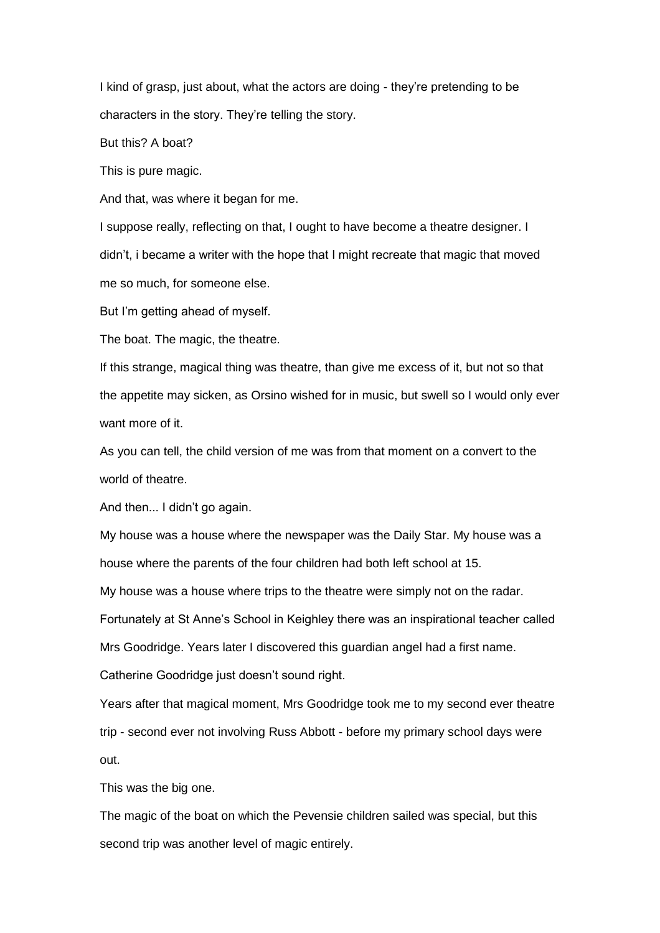I kind of grasp, just about, what the actors are doing - they"re pretending to be characters in the story. They"re telling the story.

But this? A boat?

This is pure magic.

And that, was where it began for me.

I suppose really, reflecting on that, I ought to have become a theatre designer. I didn"t, i became a writer with the hope that I might recreate that magic that moved me so much, for someone else.

But I'm getting ahead of myself.

The boat. The magic, the theatre.

If this strange, magical thing was theatre, than give me excess of it, but not so that the appetite may sicken, as Orsino wished for in music, but swell so I would only ever want more of it.

As you can tell, the child version of me was from that moment on a convert to the world of theatre.

And then... I didn"t go again.

My house was a house where the newspaper was the Daily Star. My house was a house where the parents of the four children had both left school at 15.

My house was a house where trips to the theatre were simply not on the radar.

Fortunately at St Anne"s School in Keighley there was an inspirational teacher called Mrs Goodridge. Years later I discovered this guardian angel had a first name. Catherine Goodridge just doesn"t sound right.

Years after that magical moment, Mrs Goodridge took me to my second ever theatre trip - second ever not involving Russ Abbott - before my primary school days were out.

This was the big one.

The magic of the boat on which the Pevensie children sailed was special, but this second trip was another level of magic entirely.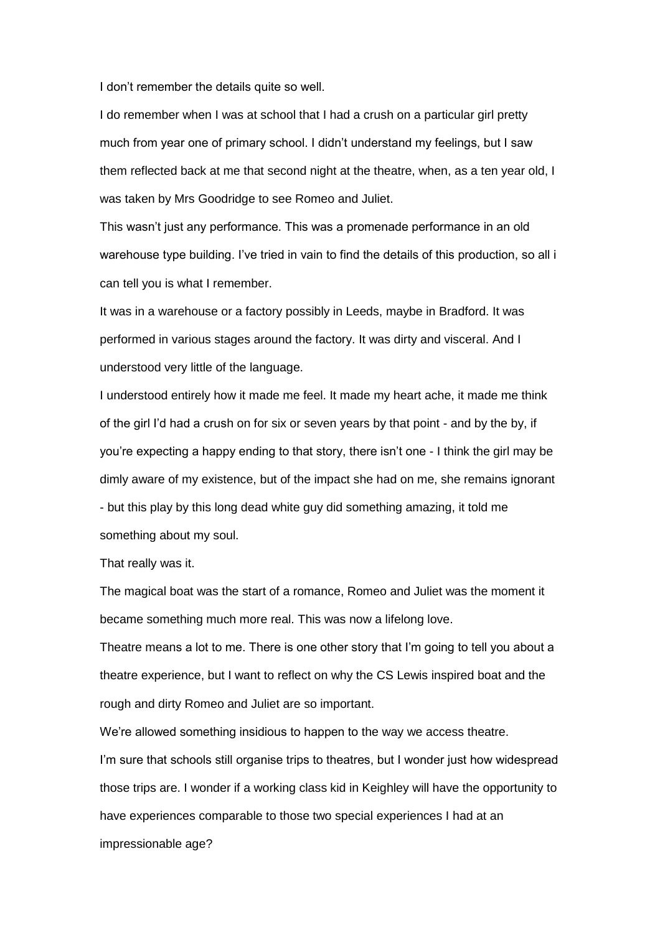I don"t remember the details quite so well.

I do remember when I was at school that I had a crush on a particular girl pretty much from year one of primary school. I didn"t understand my feelings, but I saw them reflected back at me that second night at the theatre, when, as a ten year old, I was taken by Mrs Goodridge to see Romeo and Juliet.

This wasn"t just any performance. This was a promenade performance in an old warehouse type building. I"ve tried in vain to find the details of this production, so all i can tell you is what I remember.

It was in a warehouse or a factory possibly in Leeds, maybe in Bradford. It was performed in various stages around the factory. It was dirty and visceral. And I understood very little of the language.

I understood entirely how it made me feel. It made my heart ache, it made me think of the girl I"d had a crush on for six or seven years by that point - and by the by, if you"re expecting a happy ending to that story, there isn"t one - I think the girl may be dimly aware of my existence, but of the impact she had on me, she remains ignorant - but this play by this long dead white guy did something amazing, it told me something about my soul.

That really was it.

The magical boat was the start of a romance, Romeo and Juliet was the moment it became something much more real. This was now a lifelong love.

Theatre means a lot to me. There is one other story that I"m going to tell you about a theatre experience, but I want to reflect on why the CS Lewis inspired boat and the rough and dirty Romeo and Juliet are so important.

We're allowed something insidious to happen to the way we access theatre. I'm sure that schools still organise trips to theatres, but I wonder just how widespread those trips are. I wonder if a working class kid in Keighley will have the opportunity to have experiences comparable to those two special experiences I had at an impressionable age?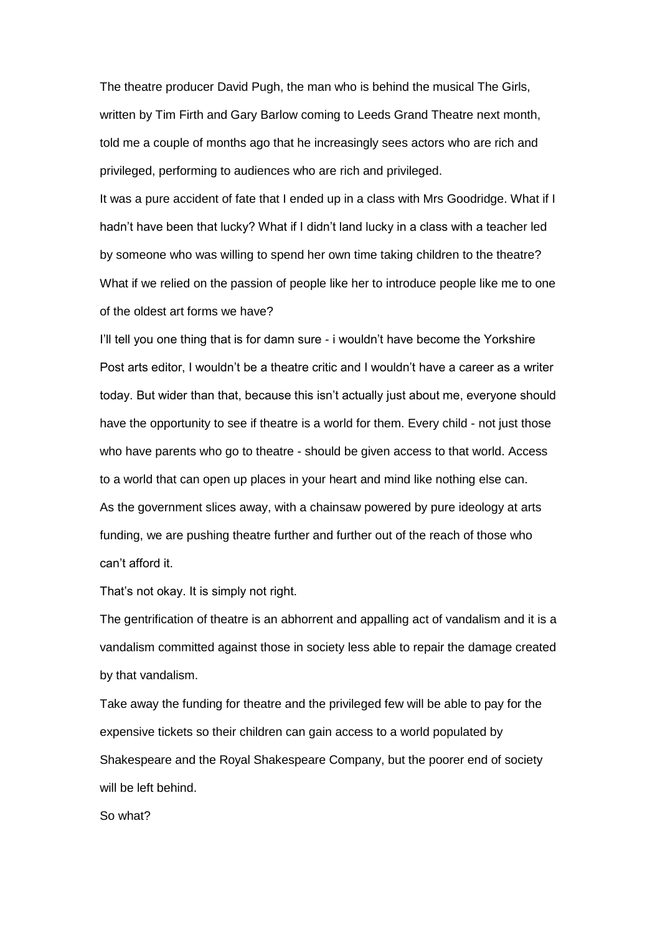The theatre producer David Pugh, the man who is behind the musical The Girls, written by Tim Firth and Gary Barlow coming to Leeds Grand Theatre next month, told me a couple of months ago that he increasingly sees actors who are rich and privileged, performing to audiences who are rich and privileged.

It was a pure accident of fate that I ended up in a class with Mrs Goodridge. What if I hadn"t have been that lucky? What if I didn"t land lucky in a class with a teacher led by someone who was willing to spend her own time taking children to the theatre? What if we relied on the passion of people like her to introduce people like me to one of the oldest art forms we have?

I"ll tell you one thing that is for damn sure - i wouldn"t have become the Yorkshire Post arts editor, I wouldn"t be a theatre critic and I wouldn"t have a career as a writer today. But wider than that, because this isn"t actually just about me, everyone should have the opportunity to see if theatre is a world for them. Every child - not just those who have parents who go to theatre - should be given access to that world. Access to a world that can open up places in your heart and mind like nothing else can. As the government slices away, with a chainsaw powered by pure ideology at arts funding, we are pushing theatre further and further out of the reach of those who can"t afford it.

That's not okay. It is simply not right.

The gentrification of theatre is an abhorrent and appalling act of vandalism and it is a vandalism committed against those in society less able to repair the damage created by that vandalism.

Take away the funding for theatre and the privileged few will be able to pay for the expensive tickets so their children can gain access to a world populated by Shakespeare and the Royal Shakespeare Company, but the poorer end of society will be left behind.

So what?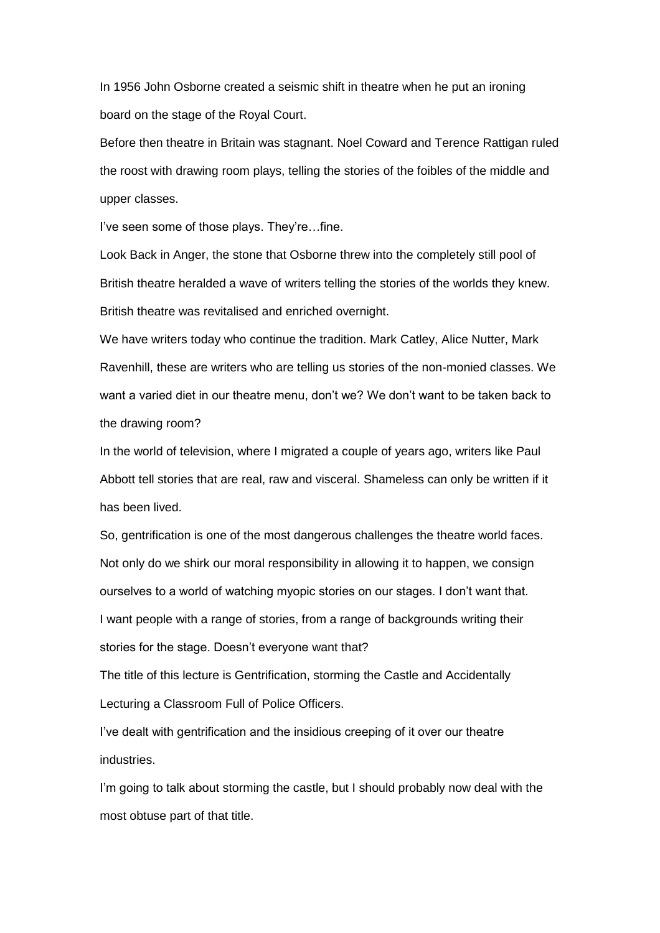In 1956 John Osborne created a seismic shift in theatre when he put an ironing board on the stage of the Royal Court.

Before then theatre in Britain was stagnant. Noel Coward and Terence Rattigan ruled the roost with drawing room plays, telling the stories of the foibles of the middle and upper classes.

I've seen some of those plays. They're...fine.

Look Back in Anger, the stone that Osborne threw into the completely still pool of British theatre heralded a wave of writers telling the stories of the worlds they knew. British theatre was revitalised and enriched overnight.

We have writers today who continue the tradition. Mark Catley, Alice Nutter, Mark Ravenhill, these are writers who are telling us stories of the non-monied classes. We want a varied diet in our theatre menu, don't we? We don't want to be taken back to the drawing room?

In the world of television, where I migrated a couple of years ago, writers like Paul Abbott tell stories that are real, raw and visceral. Shameless can only be written if it has been lived.

So, gentrification is one of the most dangerous challenges the theatre world faces. Not only do we shirk our moral responsibility in allowing it to happen, we consign ourselves to a world of watching myopic stories on our stages. I don"t want that. I want people with a range of stories, from a range of backgrounds writing their stories for the stage. Doesn't everyone want that?

The title of this lecture is Gentrification, storming the Castle and Accidentally Lecturing a Classroom Full of Police Officers.

I've dealt with gentrification and the insidious creeping of it over our theatre industries.

I'm going to talk about storming the castle, but I should probably now deal with the most obtuse part of that title.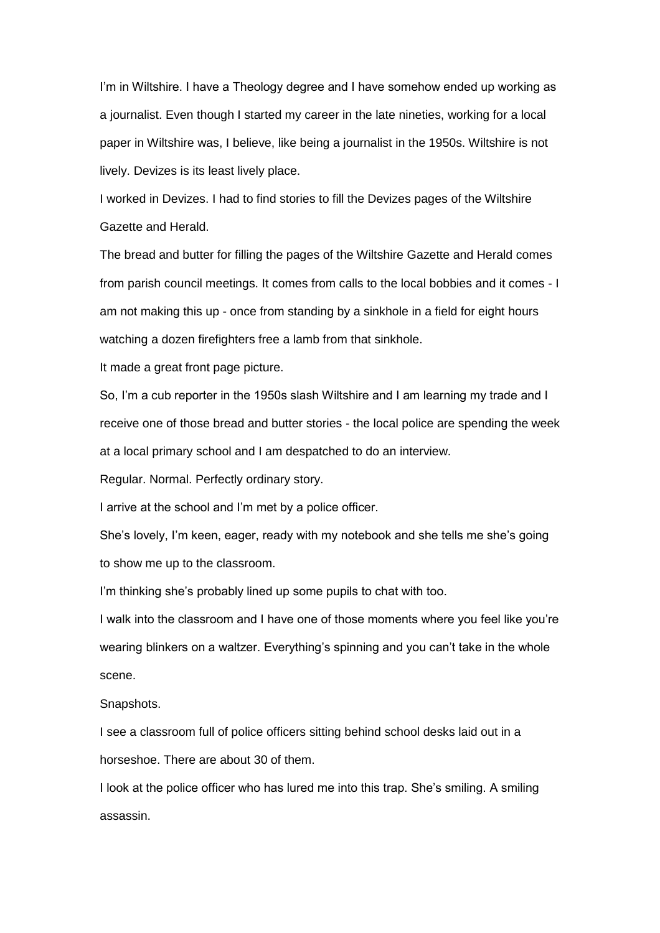I'm in Wiltshire. I have a Theology degree and I have somehow ended up working as a journalist. Even though I started my career in the late nineties, working for a local paper in Wiltshire was, I believe, like being a journalist in the 1950s. Wiltshire is not lively. Devizes is its least lively place.

I worked in Devizes. I had to find stories to fill the Devizes pages of the Wiltshire Gazette and Herald.

The bread and butter for filling the pages of the Wiltshire Gazette and Herald comes from parish council meetings. It comes from calls to the local bobbies and it comes - I am not making this up - once from standing by a sinkhole in a field for eight hours watching a dozen firefighters free a lamb from that sinkhole.

It made a great front page picture.

So, I"m a cub reporter in the 1950s slash Wiltshire and I am learning my trade and I receive one of those bread and butter stories - the local police are spending the week at a local primary school and I am despatched to do an interview.

Regular. Normal. Perfectly ordinary story.

I arrive at the school and I"m met by a police officer.

She"s lovely, I"m keen, eager, ready with my notebook and she tells me she"s going to show me up to the classroom.

I'm thinking she's probably lined up some pupils to chat with too.

I walk into the classroom and I have one of those moments where you feel like you"re wearing blinkers on a waltzer. Everything's spinning and you can't take in the whole scene.

Snapshots.

I see a classroom full of police officers sitting behind school desks laid out in a horseshoe. There are about 30 of them.

I look at the police officer who has lured me into this trap. She"s smiling. A smiling assassin.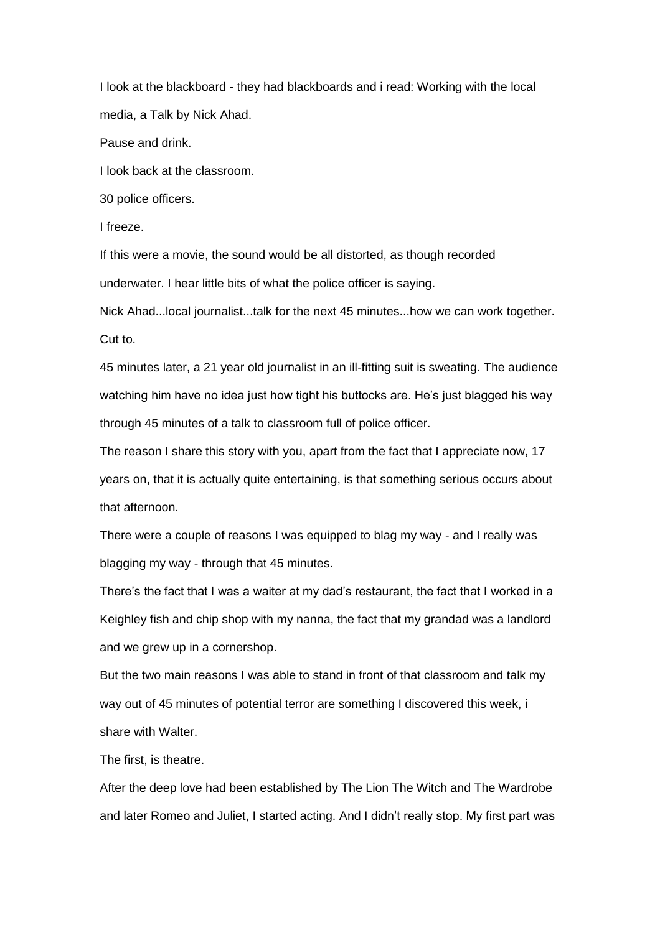I look at the blackboard - they had blackboards and i read: Working with the local media, a Talk by Nick Ahad.

Pause and drink.

I look back at the classroom.

30 police officers.

I freeze.

If this were a movie, the sound would be all distorted, as though recorded underwater. I hear little bits of what the police officer is saying.

Nick Ahad...local journalist...talk for the next 45 minutes...how we can work together. Cut to.

45 minutes later, a 21 year old journalist in an ill-fitting suit is sweating. The audience watching him have no idea just how tight his buttocks are. He"s just blagged his way through 45 minutes of a talk to classroom full of police officer.

The reason I share this story with you, apart from the fact that I appreciate now, 17 years on, that it is actually quite entertaining, is that something serious occurs about that afternoon.

There were a couple of reasons I was equipped to blag my way - and I really was blagging my way - through that 45 minutes.

There"s the fact that I was a waiter at my dad"s restaurant, the fact that I worked in a Keighley fish and chip shop with my nanna, the fact that my grandad was a landlord and we grew up in a cornershop.

But the two main reasons I was able to stand in front of that classroom and talk my way out of 45 minutes of potential terror are something I discovered this week, i share with Walter.

The first, is theatre.

After the deep love had been established by The Lion The Witch and The Wardrobe and later Romeo and Juliet, I started acting. And I didn"t really stop. My first part was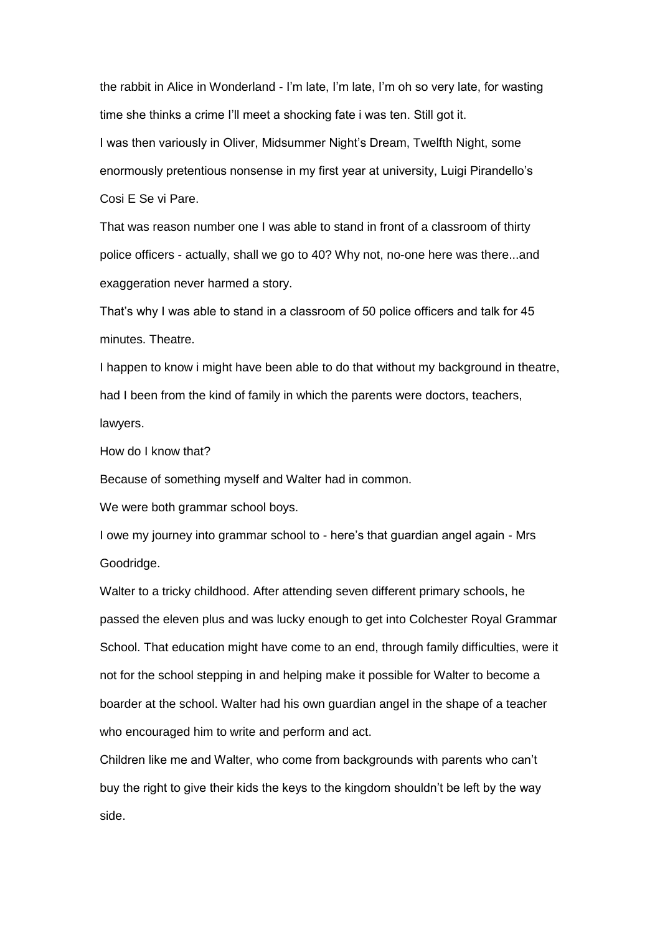the rabbit in Alice in Wonderland - I"m late, I"m late, I"m oh so very late, for wasting time she thinks a crime I"ll meet a shocking fate i was ten. Still got it. I was then variously in Oliver, Midsummer Night"s Dream, Twelfth Night, some enormously pretentious nonsense in my first year at university, Luigi Pirandello"s Cosi E Se vi Pare.

That was reason number one I was able to stand in front of a classroom of thirty police officers - actually, shall we go to 40? Why not, no-one here was there...and exaggeration never harmed a story.

That"s why I was able to stand in a classroom of 50 police officers and talk for 45 minutes. Theatre.

I happen to know i might have been able to do that without my background in theatre, had I been from the kind of family in which the parents were doctors, teachers, lawyers.

How do I know that?

Because of something myself and Walter had in common.

We were both grammar school boys.

I owe my journey into grammar school to - here"s that guardian angel again - Mrs Goodridge.

Walter to a tricky childhood. After attending seven different primary schools, he passed the eleven plus and was lucky enough to get into Colchester Royal Grammar School. That education might have come to an end, through family difficulties, were it not for the school stepping in and helping make it possible for Walter to become a boarder at the school. Walter had his own guardian angel in the shape of a teacher who encouraged him to write and perform and act.

Children like me and Walter, who come from backgrounds with parents who can"t buy the right to give their kids the keys to the kingdom shouldn"t be left by the way side.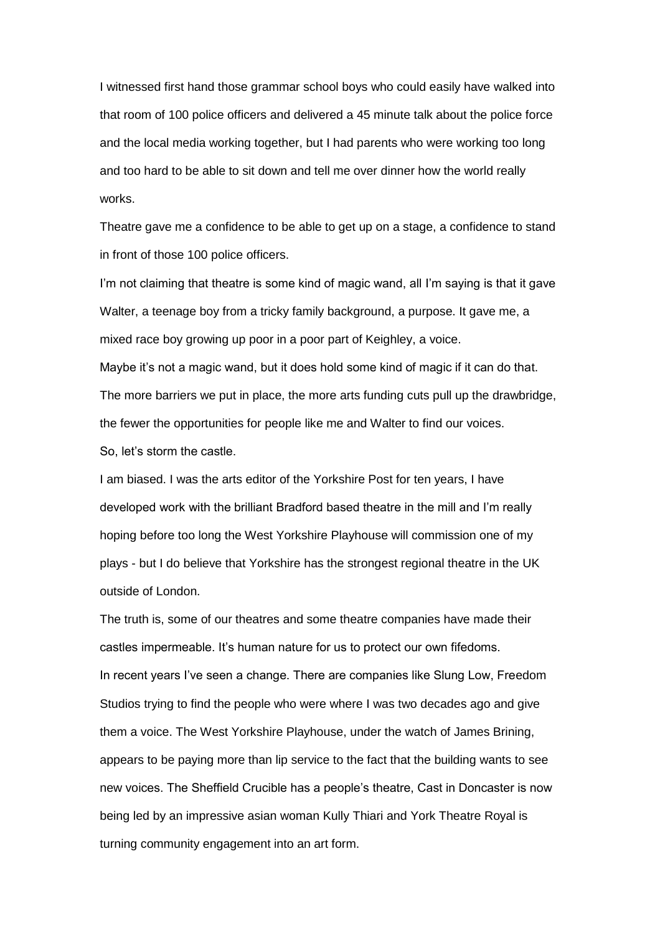I witnessed first hand those grammar school boys who could easily have walked into that room of 100 police officers and delivered a 45 minute talk about the police force and the local media working together, but I had parents who were working too long and too hard to be able to sit down and tell me over dinner how the world really works.

Theatre gave me a confidence to be able to get up on a stage, a confidence to stand in front of those 100 police officers.

I'm not claiming that theatre is some kind of magic wand, all I'm saying is that it gave Walter, a teenage boy from a tricky family background, a purpose. It gave me, a mixed race boy growing up poor in a poor part of Keighley, a voice.

Maybe it's not a magic wand, but it does hold some kind of magic if it can do that. The more barriers we put in place, the more arts funding cuts pull up the drawbridge, the fewer the opportunities for people like me and Walter to find our voices. So, let"s storm the castle.

I am biased. I was the arts editor of the Yorkshire Post for ten years, I have developed work with the brilliant Bradford based theatre in the mill and I"m really hoping before too long the West Yorkshire Playhouse will commission one of my plays - but I do believe that Yorkshire has the strongest regional theatre in the UK outside of London.

The truth is, some of our theatres and some theatre companies have made their castles impermeable. It's human nature for us to protect our own fifedoms. In recent years I've seen a change. There are companies like Slung Low, Freedom Studios trying to find the people who were where I was two decades ago and give them a voice. The West Yorkshire Playhouse, under the watch of James Brining, appears to be paying more than lip service to the fact that the building wants to see new voices. The Sheffield Crucible has a people"s theatre, Cast in Doncaster is now being led by an impressive asian woman Kully Thiari and York Theatre Royal is turning community engagement into an art form.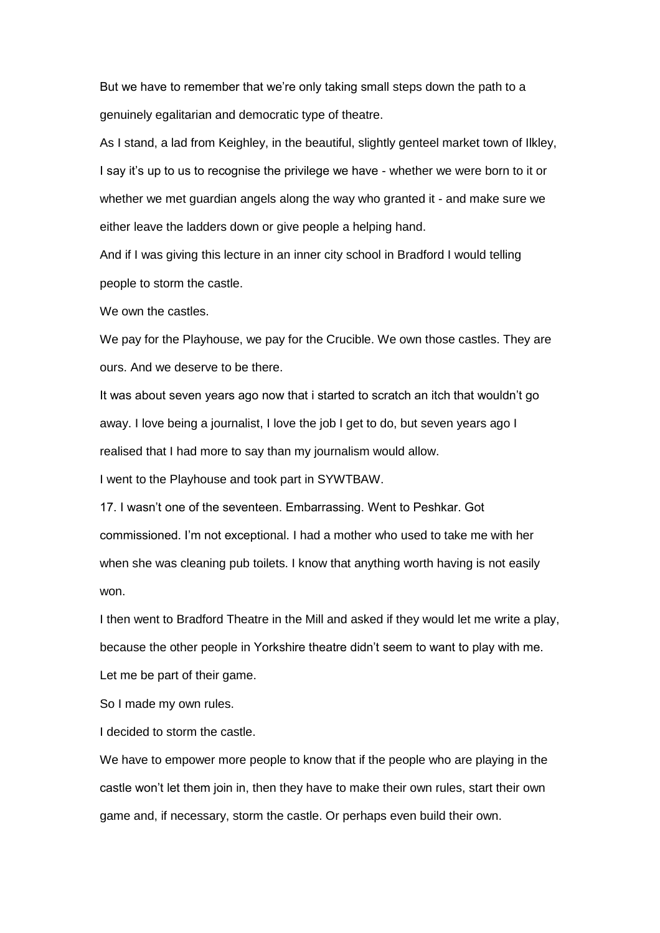But we have to remember that we"re only taking small steps down the path to a genuinely egalitarian and democratic type of theatre.

As I stand, a lad from Keighley, in the beautiful, slightly genteel market town of Ilkley, I say it's up to us to recognise the privilege we have - whether we were born to it or whether we met guardian angels along the way who granted it - and make sure we either leave the ladders down or give people a helping hand.

And if I was giving this lecture in an inner city school in Bradford I would telling people to storm the castle.

We own the castles.

We pay for the Playhouse, we pay for the Crucible. We own those castles. They are ours. And we deserve to be there.

It was about seven years ago now that i started to scratch an itch that wouldn"t go away. I love being a journalist, I love the job I get to do, but seven years ago I realised that I had more to say than my journalism would allow.

I went to the Playhouse and took part in SYWTBAW.

17. I wasn't one of the seventeen. Embarrassing. Went to Peshkar. Got commissioned. I"m not exceptional. I had a mother who used to take me with her when she was cleaning pub toilets. I know that anything worth having is not easily won.

I then went to Bradford Theatre in the Mill and asked if they would let me write a play, because the other people in Yorkshire theatre didn"t seem to want to play with me. Let me be part of their game.

So I made my own rules.

I decided to storm the castle.

We have to empower more people to know that if the people who are playing in the castle won"t let them join in, then they have to make their own rules, start their own game and, if necessary, storm the castle. Or perhaps even build their own.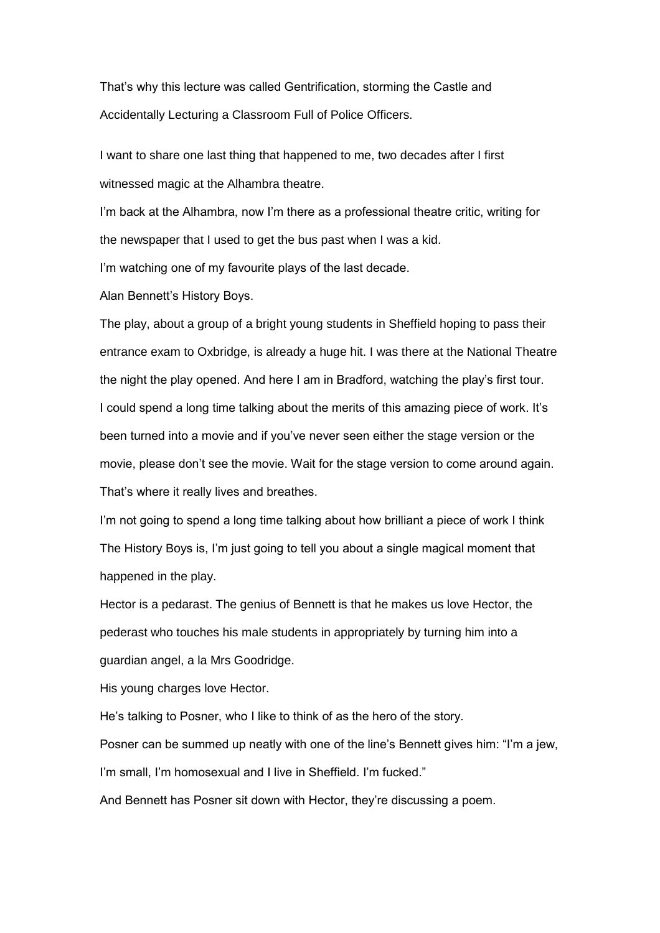That"s why this lecture was called Gentrification, storming the Castle and Accidentally Lecturing a Classroom Full of Police Officers.

I want to share one last thing that happened to me, two decades after I first witnessed magic at the Alhambra theatre.

I'm back at the Alhambra, now I'm there as a professional theatre critic, writing for the newspaper that I used to get the bus past when I was a kid.

I'm watching one of my favourite plays of the last decade.

Alan Bennett"s History Boys.

The play, about a group of a bright young students in Sheffield hoping to pass their entrance exam to Oxbridge, is already a huge hit. I was there at the National Theatre the night the play opened. And here I am in Bradford, watching the play"s first tour. I could spend a long time talking about the merits of this amazing piece of work. It's been turned into a movie and if you"ve never seen either the stage version or the movie, please don"t see the movie. Wait for the stage version to come around again. That's where it really lives and breathes.

I'm not going to spend a long time talking about how brilliant a piece of work I think The History Boys is, I"m just going to tell you about a single magical moment that happened in the play.

Hector is a pedarast. The genius of Bennett is that he makes us love Hector, the pederast who touches his male students in appropriately by turning him into a guardian angel, a la Mrs Goodridge.

His young charges love Hector.

He"s talking to Posner, who I like to think of as the hero of the story.

Posner can be summed up neatly with one of the line's Bennett gives him: "I'm a jew,

I'm small, I'm homosexual and I live in Sheffield. I'm fucked."

And Bennett has Posner sit down with Hector, they"re discussing a poem.